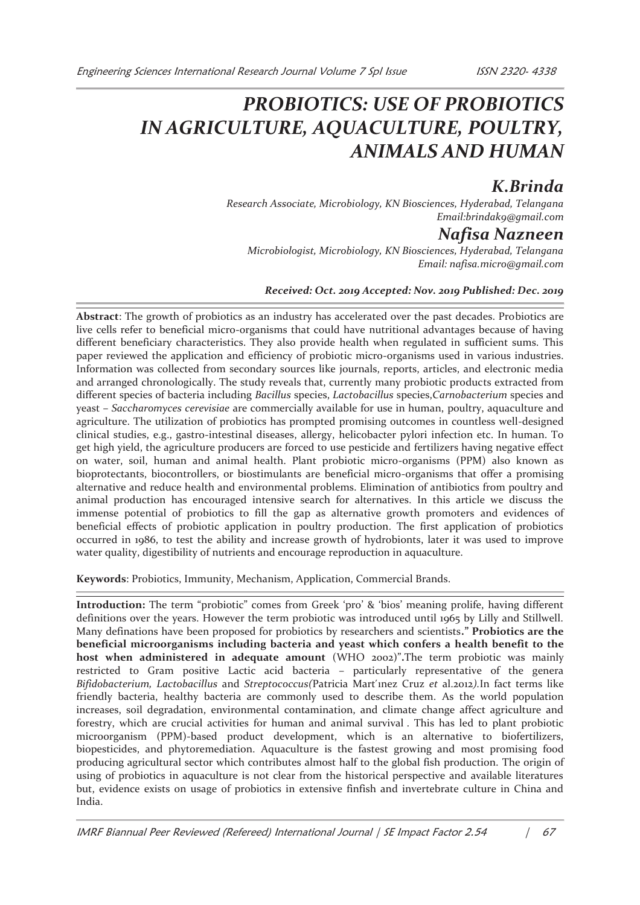# *PROBIOTICS: USE OF PROBIOTICS IN AGRICULTURE, AQUACULTURE, POULTRY, ANIMALS AND HUMAN*

## *K.Brinda*

*Research Associate, Microbiology, KN Biosciences, Hyderabad, Telangana Email:brindak9@gmail.com* 

### *Nafisa Nazneen*

*Microbiologist, Microbiology, KN Biosciences, Hyderabad, Telangana Email: nafisa.micro@gmail.com* 

#### *Received: Oct. 2019 Accepted: Nov. 2019 Published: Dec. 2019*

**Abstract**: The growth of probiotics as an industry has accelerated over the past decades. Probiotics are live cells refer to beneficial micro-organisms that could have nutritional advantages because of having different beneficiary characteristics. They also provide health when regulated in sufficient sums. This paper reviewed the application and efficiency of probiotic micro-organisms used in various industries. Information was collected from secondary sources like journals, reports, articles, and electronic media and arranged chronologically. The study reveals that, currently many probiotic products extracted from different species of bacteria including *Bacillus* species, *Lactobacillus* species,*Carnobacterium* species and yeast *– Saccharomyces cerevisiae* are commercially available for use in human, poultry, aquaculture and agriculture. The utilization of probiotics has prompted promising outcomes in countless well-designed clinical studies, e.g., gastro-intestinal diseases, allergy, helicobacter pylori infection etc. In human. To get high yield, the agriculture producers are forced to use pesticide and fertilizers having negative effect on water, soil, human and animal health. Plant probiotic micro-organisms (PPM) also known as bioprotectants, biocontrollers, or biostimulants are beneficial micro-organisms that offer a promising alternative and reduce health and environmental problems. Elimination of antibiotics from poultry and animal production has encouraged intensive search for alternatives. In this article we discuss the immense potential of probiotics to fill the gap as alternative growth promoters and evidences of beneficial effects of probiotic application in poultry production. The first application of probiotics occurred in 1986, to test the ability and increase growth of hydrobionts, later it was used to improve water quality, digestibility of nutrients and encourage reproduction in aquaculture.

**Keywords**: Probiotics, Immunity, Mechanism, Application, Commercial Brands.

**Introduction:** The term "probiotic" comes from Greek 'pro' & 'bios' meaning prolife, having different definitions over the years. However the term probiotic was introduced until 1965 by Lilly and Stillwell. Many definations have been proposed for probiotics by researchers and scientists**." Probiotics are the beneficial microorganisms including bacteria and yeast which confers a health benefit to the host when administered in adequate amount** (WHO 2002)"**.**The term probiotic was mainly restricted to Gram positive Lactic acid bacteria – particularly representative of the genera *Bifidobacterium, Lactobacillus* and *Streptococcus(*Patricia Mart ́ınez Cruz *et* al.2012*).*In fact terms like friendly bacteria, healthy bacteria are commonly used to describe them. As the world population increases, soil degradation, environmental contamination, and climate change affect agriculture and forestry, which are crucial activities for human and animal survival . This has led to plant probiotic microorganism (PPM)-based product development, which is an alternative to biofertilizers, biopesticides, and phytoremediation. Aquaculture is the fastest growing and most promising food producing agricultural sector which contributes almost half to the global fish production. The origin of using of probiotics in aquaculture is not clear from the historical perspective and available literatures but, evidence exists on usage of probiotics in extensive finfish and invertebrate culture in China and India.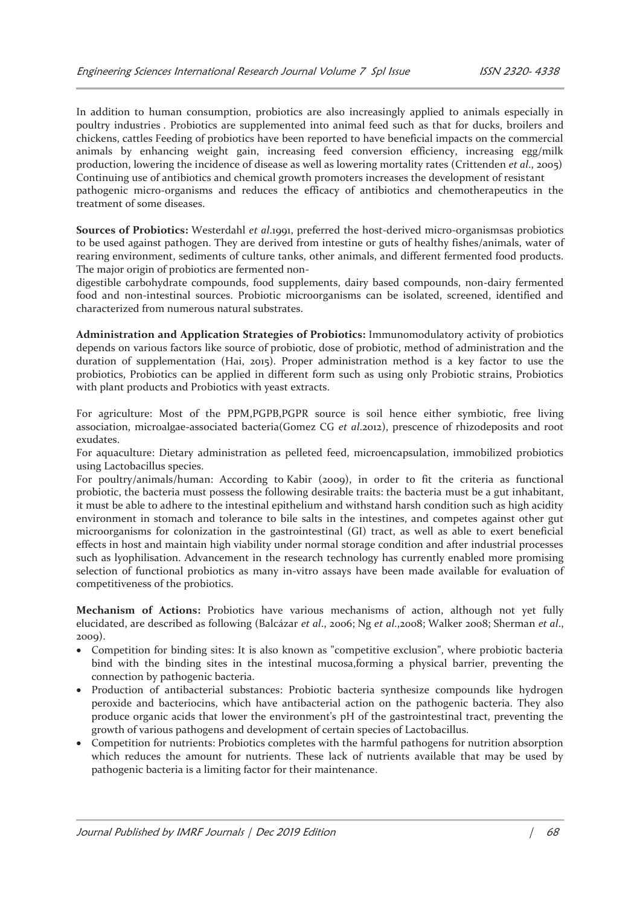In addition to human consumption, probiotics are also increasingly applied to animals especially in poultry industries . Probiotics are supplemented into animal feed such as that for ducks, broilers and chickens, cattles Feeding of probiotics have been reported to have beneficial impacts on the commercial animals by enhancing weight gain, increasing feed conversion efficiency, increasing egg/milk production, lowering the incidence of disease as well as lowering mortality rates (Crittenden *et al*., 2005) Continuing use of antibiotics and chemical growth promoters increases the development of resistant pathogenic micro-organisms and reduces the efficacy of antibiotics and chemotherapeutics in the treatment of some diseases.

**Sources of Probiotics:** Westerdahl *et al*.1991, preferred the host-derived micro-organismsas probiotics to be used against pathogen. They are derived from intestine or guts of healthy fishes/animals, water of rearing environment, sediments of culture tanks, other animals, and different fermented food products. The major origin of probiotics are fermented non-

digestible carbohydrate compounds, food supplements, dairy based compounds, non-dairy fermented food and non-intestinal sources. Probiotic microorganisms can be isolated, screened, identified and characterized from numerous natural substrates.

**Administration and Application Strategies of Probiotics:** Immunomodulatory activity of probiotics depends on various factors like source of probiotic, dose of probiotic, method of administration and the duration of supplementation (Hai, 2015). Proper administration method is a key factor to use the probiotics, Probiotics can be applied in different form such as using only Probiotic strains, Probiotics with plant products and Probiotics with yeast extracts.

For agriculture: Most of the PPM,PGPB,PGPR source is soil hence either symbiotic, free living association, microalgae-associated bacteria(Gomez CG *et al*.2012), prescence of rhizodeposits and root exudates.

For aquaculture: Dietary administration as pelleted feed, microencapsulation, immobilized probiotics using Lactobacillus species.

For poultry/animals/human: According to Kabir (2009), in order to fit the criteria as functional probiotic, the bacteria must possess the following desirable traits: the bacteria must be a gut inhabitant, it must be able to adhere to the intestinal epithelium and withstand harsh condition such as high acidity environment in stomach and tolerance to bile salts in the intestines, and competes against other gut microorganisms for colonization in the gastrointestinal (GI) tract, as well as able to exert beneficial effects in host and maintain high viability under normal storage condition and after industrial processes such as lyophilisation. Advancement in the research technology has currently enabled more promising selection of functional probiotics as many in-vitro assays have been made available for evaluation of competitiveness of the probiotics.

**Mechanism of Actions:** Probiotics have various mechanisms of action, although not yet fully elucidated, are described as following (Balcázar *et al*., 2006; Ng *et al*.,2008; Walker 2008; Sherman *et al*., 2009).

- · Competition for binding sites: It is also known as "competitive exclusion", where probiotic bacteria bind with the binding sites in the intestinal mucosa,forming a physical barrier, preventing the connection by pathogenic bacteria.
- · Production of antibacterial substances: Probiotic bacteria synthesize compounds like hydrogen peroxide and bacteriocins, which have antibacterial action on the pathogenic bacteria. They also produce organic acids that lower the environment's pH of the gastrointestinal tract, preventing the growth of various pathogens and development of certain species of Lactobacillus.
- Competition for nutrients: Probiotics completes with the harmful pathogens for nutrition absorption which reduces the amount for nutrients. These lack of nutrients available that may be used by pathogenic bacteria is a limiting factor for their maintenance.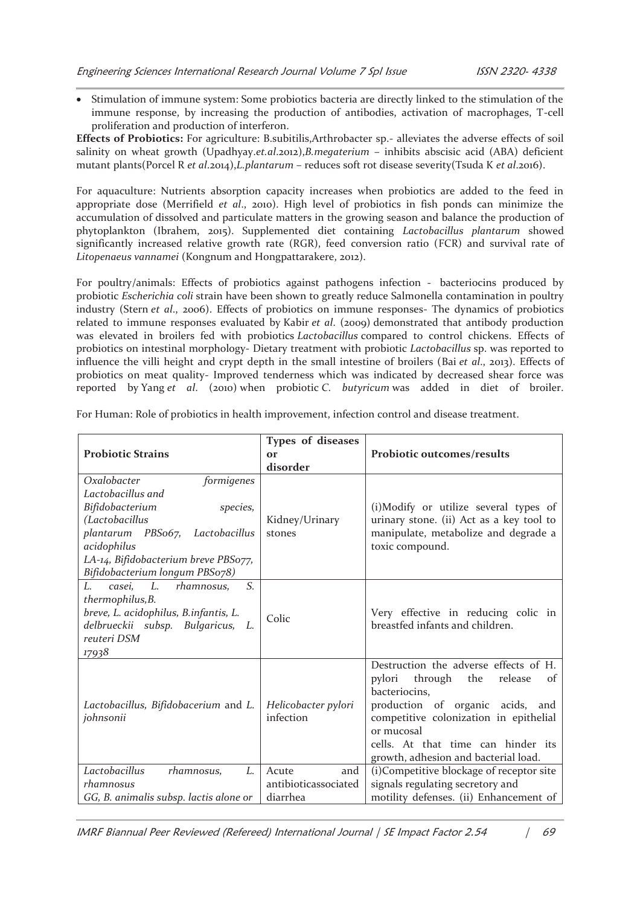· Stimulation of immune system: Some probiotics bacteria are directly linked to the stimulation of the immune response, by increasing the production of antibodies, activation of macrophages, T-cell proliferation and production of interferon.

**Effects of Probiotics:** For agriculture: B.subitilis,Arthrobacter sp.- alleviates the adverse effects of soil salinity on wheat growth (Upadhyay.*et.al*.2012),*B.megaterium* – inhibits abscisic acid (ABA) deficient mutant plants(Porcel R *et al*.2014),*L.plantarum* – reduces soft rot disease severity(Tsuda K *et al*.2016).

For aquaculture: Nutrients absorption capacity increases when probiotics are added to the feed in appropriate dose (Merrifield *et al*., 2010). High level of probiotics in fish ponds can minimize the accumulation of dissolved and particulate matters in the growing season and balance the production of phytoplankton (Ibrahem, 2015). Supplemented diet containing *Lactobacillus plantarum* showed significantly increased relative growth rate (RGR), feed conversion ratio (FCR) and survival rate of *Litopenaeus vannamei* (Kongnum and Hongpattarakere, 2012).

For poultry/animals: Effects of probiotics against pathogens infection - bacteriocins produced by probiotic *Escherichia coli* strain have been shown to greatly reduce Salmonella contamination in poultry industry (Stern *et al*., 2006). Effects of probiotics on immune responses- The dynamics of probiotics related to immune responses evaluated by Kabir *et al*. (2009) demonstrated that antibody production was elevated in broilers fed with probiotics *Lactobacillus* compared to control chickens. Effects of probiotics on intestinal morphology- Dietary treatment with probiotic *Lactobacillus* sp. was reported to influence the villi height and crypt depth in the small intestine of broilers (Bai *et al*., 2013). Effects of probiotics on meat quality- Improved tenderness which was indicated by decreased shear force was reported by Yang *et al*. (2010) when probiotic *C. butyricum* was added in diet of broiler.

|                                           | <b>Types of diseases</b> |                                                      |
|-------------------------------------------|--------------------------|------------------------------------------------------|
| <b>Probiotic Strains</b>                  | $\Omega$ r               | <b>Probiotic outcomes/results</b>                    |
|                                           | disorder                 |                                                      |
| Oxalobacter<br>formigenes                 |                          |                                                      |
| Lactobacillus and                         |                          |                                                      |
| Bifidobacterium<br>species,               |                          | (i) Modify or utilize several types of               |
| (Lactobacillus                            | Kidney/Urinary           | urinary stone. (ii) Act as a key tool to             |
| plantarum PBS067,<br>Lactobacillus        | stones                   | manipulate, metabolize and degrade a                 |
| acidophilus                               |                          | toxic compound.                                      |
| LA-14, Bifidobacterium breve PBS077,      |                          |                                                      |
| Bifidobacterium longum PBSo78)            |                          |                                                      |
| S.<br>L.<br>$L$ .<br>casei,<br>rhamnosus, |                          |                                                      |
| thermophilus, B.                          |                          |                                                      |
| breve, L. acidophilus, B.infantis, L.     | Colic                    | Very effective in reducing colic in                  |
| delbrueckii subsp. Bulgaricus, L.         |                          | breastfed infants and children.                      |
| reuteri DSM                               |                          |                                                      |
| 17938                                     |                          |                                                      |
|                                           |                          | Destruction the adverse effects of H.                |
|                                           |                          | pylori<br>through<br>the<br>release<br>of            |
|                                           |                          | bacteriocins,                                        |
| Lactobacillus, Bifidobacerium and L.      | Helicobacter pylori      | production of organic acids, and                     |
| johnsonii                                 | infection                | competitive colonization in epithelial<br>or mucosal |
|                                           |                          |                                                      |
|                                           |                          | cells. At that time can hinder its                   |
|                                           |                          | growth, adhesion and bacterial load.                 |
| Lactobacillus<br>L.<br>rhamnosus,         | Acute<br>and             | (i)Competitive blockage of receptor site             |
| rhamnosus                                 | antibioticassociated     | signals regulating secretory and                     |
| GG, B. animalis subsp. lactis alone or    | diarrhea                 | motility defenses. (ii) Enhancement of               |

For Human: Role of probiotics in health improvement, infection control and disease treatment.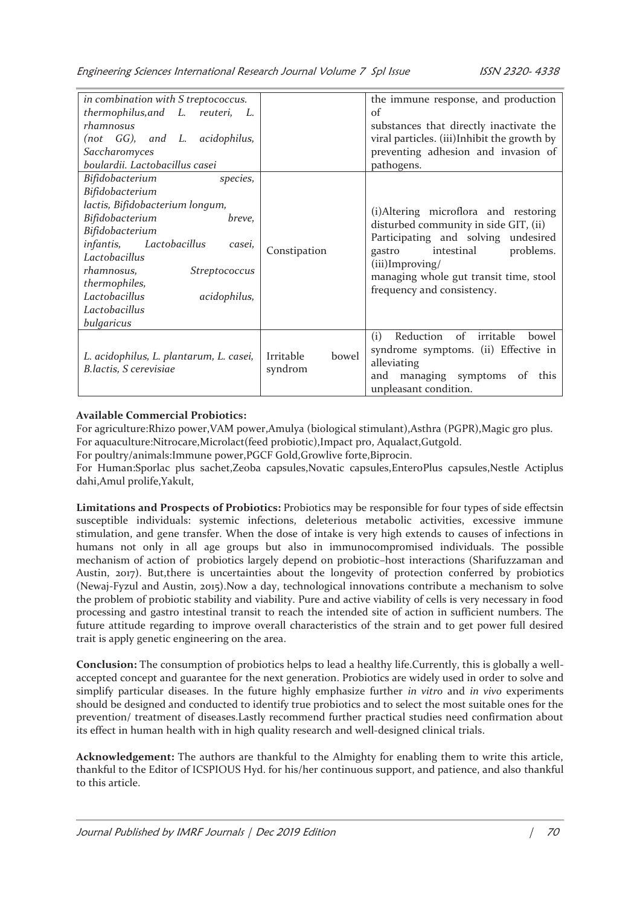| in combination with S treptococcus.<br>thermophilus, and L. reuteri, L.<br>rhamnosus<br>(not GG), and L. acidophilus,<br>Saccharomyces<br>boulardii. Lactobacillus casei                                                                                                                  |                               | the immune response, and production<br>of<br>substances that directly inactivate the<br>viral particles. (iii)Inhibit the growth by<br>preventing adhesion and invasion of<br>pathogens.                                                                |
|-------------------------------------------------------------------------------------------------------------------------------------------------------------------------------------------------------------------------------------------------------------------------------------------|-------------------------------|---------------------------------------------------------------------------------------------------------------------------------------------------------------------------------------------------------------------------------------------------------|
| Bifidobacterium<br>species,<br>Bifidobacterium<br>lactis, Bifidobacterium longum,<br>Bifidobacterium<br>breve,<br>Bifidobacterium<br>infantis, Lactobacillus<br>casei,<br>Lactobacillus<br>rhamnosus,<br>Streptococcus<br>thermophiles,<br>Lactobacillus<br>acidophilus,<br>Lactobacillus | Constipation                  | (i)Altering microflora and restoring<br>disturbed community in side GIT, (ii)<br>Participating and solving undesired<br>gastro<br>intestinal<br>problems.<br>$(iii)$ Improving/<br>managing whole gut transit time, stool<br>frequency and consistency. |
| bulgaricus<br>L. acidophilus, L. plantarum, L. casei,<br>B.lactis, S cerevisiae                                                                                                                                                                                                           | bowel<br>Irritable<br>syndrom | Reduction of irritable<br>(i)<br>bowel<br>syndrome symptoms. (ii) Effective in<br>alleviating<br>managing symptoms<br>and<br>of<br>this<br>unpleasant condition.                                                                                        |

#### **Available Commercial Probiotics:**

For agriculture:Rhizo power,VAM power,Amulya (biological stimulant),Asthra (PGPR),Magic gro plus. For aquaculture:Nitrocare,Microlact(feed probiotic),Impact pro, Aqualact,Gutgold.

For poultry/animals:Immune power,PGCF Gold,Growlive forte,Biprocin.

For Human:Sporlac plus sachet,Zeoba capsules,Novatic capsules,EnteroPlus capsules,Nestle Actiplus dahi,Amul prolife,Yakult,

**Limitations and Prospects of Probiotics:** Probiotics may be responsible for four types of side effectsin susceptible individuals: systemic infections, deleterious metabolic activities, excessive immune stimulation, and gene transfer. When the dose of intake is very high extends to causes of infections in humans not only in all age groups but also in immunocompromised individuals. The possible mechanism of action of probiotics largely depend on probiotic–host interactions (Sharifuzzaman and Austin, 2017). But,there is uncertainties about the longevity of protection conferred by probiotics (Newaj-Fyzul and Austin, 2015).Now a day, technological innovations contribute a mechanism to solve the problem of probiotic stability and viability. Pure and active viability of cells is very necessary in food processing and gastro intestinal transit to reach the intended site of action in sufficient numbers. The future attitude regarding to improve overall characteristics of the strain and to get power full desired trait is apply genetic engineering on the area.

**Conclusion:** The consumption of probiotics helps to lead a healthy life.Currently, this is globally a wellaccepted concept and guarantee for the next generation. Probiotics are widely used in order to solve and simplify particular diseases. In the future highly emphasize further *in vitro* and *in vivo* experiments should be designed and conducted to identify true probiotics and to select the most suitable ones for the prevention/ treatment of diseases.Lastly recommend further practical studies need confirmation about its effect in human health with in high quality research and well-designed clinical trials.

**Acknowledgement:** The authors are thankful to the Almighty for enabling them to write this article, thankful to the Editor of ICSPIOUS Hyd. for his/her continuous support, and patience, and also thankful to this article.